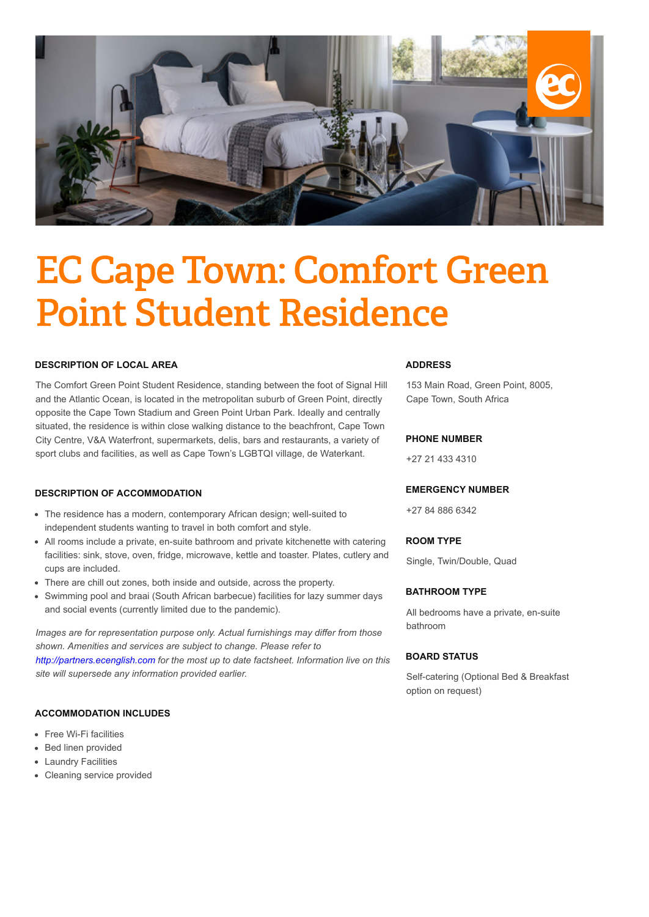

# EC Cape Town: Comfort Green Point Student Residence

## **DESCRIPTION OF LOCAL AREA**

The Comfort Green Point Student Residence, standing between the foot of Signal Hill and the Atlantic Ocean, is located in the metropolitan suburb of Green Point, directly opposite the Cape Town Stadium and Green Point Urban Park. Ideally and centrally situated, the residence is within close walking distance to the beachfront, Cape Town City Centre, V&A Waterfront, supermarkets, delis, bars and restaurants, a variety of sport clubs and facilities, as well as Cape Town's LGBTQI village, de Waterkant.

## **DESCRIPTION OF ACCOMMODATION**

- The residence has a modern, contemporary African design; well-suited to independent students wanting to travel in both comfort and style.
- All rooms include a private, en-suite bathroom and private kitchenette with catering facilities: sink, stove, oven, fridge, microwave, kettle and toaster. Plates, cutlery and cups are included.
- There are chill out zones, both inside and outside, across the property.
- Swimming pool and braai (South African barbecue) facilities for lazy summer days and social events (currently limited due to the pandemic).

*Images are for representation purpose only. Actual furnishings may differ from those shown. Amenities and services are subject to change. Please refer to [http://partners.ecenglish.com](http://partners.ecenglish.com/) for the most up to date factsheet. Information live on this site will supersede any information provided earlier.*

#### **ACCOMMODATION INCLUDES**

- Free Wi-Fi facilities
- Bed linen provided
- Laundry Facilities
- Cleaning service provided

## **ADDRESS**

153 Main Road, Green Point, 8005, Cape Town, South Africa

#### **PHONE NUMBER**

+27 21 433 4310

#### **EMERGENCY NUMBER**

+27 84 886 6342

#### **ROOM TYPE**

Single, Twin/Double, Quad

#### **BATHROOM TYPE**

All bedrooms have a private, en-suite bathroom

## **BOARD STATUS**

Self-catering (Optional Bed & Breakfast option on request)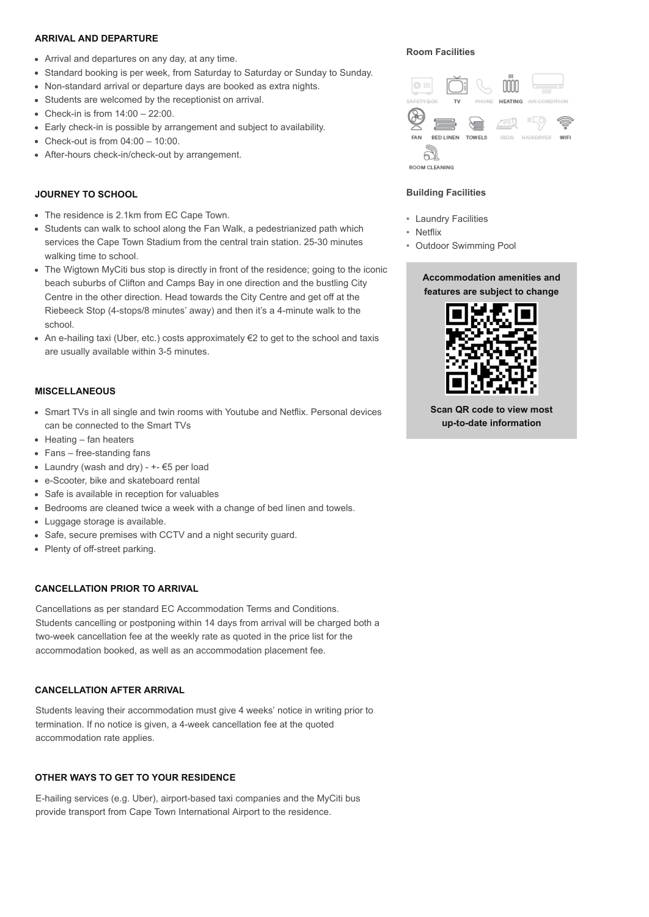## **ARRIVAL AND DEPARTURE**

- Arrival and departures on any day, at any time.
- Standard booking is per week, from Saturday to Saturday or Sunday to Sunday.
- Non-standard arrival or departure days are booked as extra nights.
- Students are welcomed by the receptionist on arrival.
- $\bullet$  Check-in is from  $14:00 22:00$ .
- Early check-in is possible by arrangement and subject to availability.
- Check-out is from  $04:00 10:00$ .
- After-hours check-in/check-out by arrangement.

## **JOURNEY TO SCHOOL**

- The residence is 2.1km from EC Cape Town.
- Students can walk to school along the Fan Walk, a pedestrianized path which services the Cape Town Stadium from the central train station. 25-30 minutes walking time to school.
- The Wigtown MyCiti bus stop is directly in front of the residence; going to the iconic beach suburbs of Clifton and Camps Bay in one direction and the bustling City Centre in the other direction. Head towards the City Centre and get off at the Riebeeck Stop (4-stops/8 minutes' away) and then it's a 4-minute walk to the school.
- An e-hailing taxi (Uber, etc.) costs approximately €2 to get to the school and taxis are usually available within 3-5 minutes.

#### **MISCELLANEOUS**

- Smart TVs in all single and twin rooms with Youtube and Netflix. Personal devices can be connected to the Smart TVs
- $\bullet$  Heating fan heaters
- Fans free-standing fans
- Laundry (wash and dry)  $+$   $\epsilon$ 5 per load
- e-Scooter, bike and skateboard rental
- Safe is available in reception for valuables
- Bedrooms are cleaned twice a week with a change of bed linen and towels.
- Luggage storage is available.
- Safe, secure premises with CCTV and a night security guard.
- Plenty of off-street parking.

## **CANCELLATION PRIOR TO ARRIVAL**

Cancellations as per standard EC Accommodation Terms and Conditions. Students cancelling or postponing within 14 days from arrival will be charged both a two-week cancellation fee at the weekly rate as quoted in the price list for the accommodation booked, as well as an accommodation placement fee.

## **CANCELLATION AFTER ARRIVAL**

Students leaving their accommodation must give 4 weeks' notice in writing prior to termination. If no notice is given, a 4-week cancellation fee at the quoted accommodation rate applies.

## **OTHER WAYS TO GET TO YOUR RESIDENCE**

E-hailing services (e.g. Uber), airport-based taxi companies and the MyCiti bus provide transport from Cape Town International Airport to the residence.

## **Room Facilities**



#### **Building Facilities**

- Laundry Facilities
- Netflix
- Outdoor Swimming Pool

## **Accommodation amenities and features are subject to change**



**Scan QR code to view most up-to-date information**